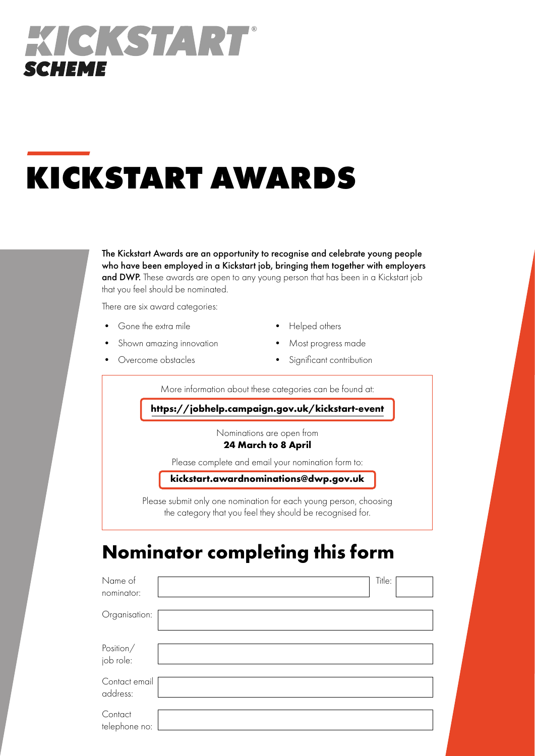

# **KICKSTART AWARDS**

The Kickstart Awards are an opportunity to recognise and celebrate young people who have been employed in a Kickstart job, bringing them together with employers and DWP. These awards are open to any young person that has been in a Kickstart job that you feel should be nominated.

There are six award categories:

• Gone the extra mile

- Helped others
- Shown amazing innovation
- Overcome obstacles
- Most progress made
- Significant contribution

More information about these categories can be found at:

**https://jobhelp.campaign.gov.uk/kickstart-event**

Nominations are open from

#### **24 March to 8 April**

Please complete and email your nomination form to:

**[kickstart.awardnominations@dwp.gov.uk](mailto:kickstart.awardnominations%40DWP.GOV.UK?subject=)**

Please submit only one nomination for each young person, choosing the category that you feel they should be recognised for.

### **Nominator completing this form**

| Name of<br>nominator:     | Title: |  |
|---------------------------|--------|--|
| Organisation:             |        |  |
| Position/<br>job role:    |        |  |
| Contact email<br>address: |        |  |
| Contact<br>telephone no:  |        |  |